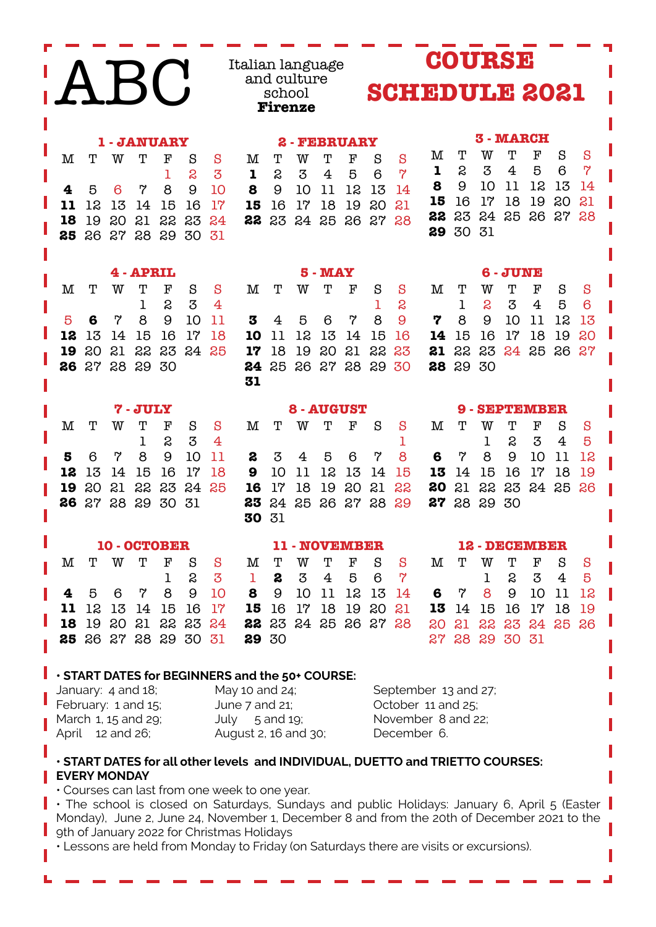| <b>COURSE</b><br>Italian language<br>BC<br>and culture<br><b>SCHEDULE 2021</b><br>school<br><b>Firenze</b>                                                                                                                                                                                                                                                                                                                                                                                                                                                                                                                                                                                                                                                                                                  |  |  |  |  |
|-------------------------------------------------------------------------------------------------------------------------------------------------------------------------------------------------------------------------------------------------------------------------------------------------------------------------------------------------------------------------------------------------------------------------------------------------------------------------------------------------------------------------------------------------------------------------------------------------------------------------------------------------------------------------------------------------------------------------------------------------------------------------------------------------------------|--|--|--|--|
| <b>3 - MARCH</b><br><b>1 - JANUARY</b><br><b>FEBRUARY</b><br>2<br>Т<br>F<br>м<br>Т<br>W<br>S<br>S<br>$\mathbf M$<br>$\mathbf F$<br>S<br>S<br>т<br>w<br>Т<br>S<br>S<br>Т<br>Т<br>F<br>М<br>W<br>$\overline{7}$<br>S<br>3<br>4<br>5<br>6<br>$\mathbf 1$<br>$\overline{7}$<br>S<br>3<br>S<br>3<br>5<br>6<br>$\overline{4}$<br>1<br>1<br>9<br>11<br>12<br>8<br>10<br>13<br>14<br>8<br>9<br>8<br>13<br>4<br>5<br>6<br>7<br>10<br>9<br>10<br>11<br>12<br>14<br>18<br>19<br>15<br>17<br>20<br>21<br>16<br>11<br>12<br>13<br>15<br>16<br>17<br>17<br>18<br>19<br>20<br>21<br>14<br>15<br>16<br>23<br>24<br>25<br>26<br>27<br>28<br>22<br>20<br>21<br>22<br>23<br>24<br>18<br>19<br>24<br>22<br>23<br>25<br>26<br>27<br>28<br>30<br>31<br>29<br>26<br>27<br>28<br>29<br>30<br>31<br>25                               |  |  |  |  |
| 4 - APRIL<br><b>5 - MAY</b><br>- JUNE<br>6<br>М<br>т<br>W<br>т<br>F<br>$\mathbf M$<br>S<br>S<br>Т<br>Т<br>F<br>M<br>т<br>F<br>W<br>S<br>S<br>т<br>W<br>S<br>S<br>3<br>S<br>S<br>S<br>3<br>5<br>6<br>1<br>$\overline{4}$<br>1<br>$\overline{4}$<br>1<br>8<br>7<br>9<br>10<br>9<br>9<br>10<br>8<br>11<br>3<br>5<br>7<br>7<br>8<br>11<br>12<br>5<br>6<br>4<br>6<br>13<br>12<br>13<br>15<br>16<br>17<br>18<br>10<br>12<br>13<br>15<br>16<br>16<br>17<br>18<br>19<br>20<br>14<br>11<br>14<br>14<br>15<br>22<br>23<br>21<br>22<br>23<br>20<br>21<br>24<br>25<br>18<br>19<br>20<br>22<br>23<br>19<br>17<br>21<br>24<br>25<br>26<br>27<br>27<br>28<br>29<br>30<br>25<br>26<br>27<br>28<br>29<br>29<br>30<br>26<br>30<br>28<br>24<br>31                                                                              |  |  |  |  |
| 8 - AUGUST<br>7-JULY<br><b>SEPTEMBER</b><br>9<br>F<br>Т<br>W<br>$\mathbf F$<br>$\mathbf F$<br>M<br>т<br>W<br>Т<br>S<br>M<br>Т<br>S<br>S<br>Т<br>W<br>Т<br>S<br>S<br>М<br>S<br>3<br>S<br>S<br>5<br>1<br>4<br>1<br>3<br>1<br>4<br>8<br>7<br>8<br>8<br>5<br>7<br>9<br>10<br>11<br>5<br>6<br>6<br>7<br>9<br>10<br>12<br>6<br>2<br>3<br>4<br>11<br>13<br>15<br>16<br>17<br>18<br>10<br>12<br>13<br>15<br>16<br>17<br>18<br>12<br>14<br>9<br>11<br>14<br>15<br>14<br>19<br>13<br>19<br>22<br>17<br>18<br>20<br>21<br>22<br>21<br>22<br>23<br>20<br>21<br>23<br>24<br>25<br>16<br>19<br>80<br>24<br>25<br>26<br>29<br>27<br>28<br>30<br>31<br>24<br>25<br>26<br>27<br>28<br>29<br>27<br>26<br>23<br>28<br>29<br>30<br>31<br>30                                                                                     |  |  |  |  |
| 10 - OCTOBER<br>11 - NOVEMBER<br>12 - DECEMBER<br>Т<br>Т<br>$\mathbf F$<br>S<br>W<br>Т<br>$\mathbf F$<br>М<br>Т<br>W<br>${\bf F}$<br>S<br>S<br>M<br>Т<br>W<br>S<br>М<br>т<br>S<br>S<br>$\mathbf{z}$<br>$\overline{7}$<br>5<br>S<br>3<br>6<br>2<br>4<br>5<br>S.<br>3<br>4<br>1<br>1<br>1<br>8<br>9<br>10<br>8<br>9<br>10<br>11<br>12<br>13<br>9<br>10<br>12<br>5<br>6<br>7<br>8<br>14<br>7<br>11<br>6<br>4<br>12 13<br>16<br>17<br>14<br>15<br>17<br>18<br>19<br>20<br>21<br>16<br>17<br>11<br>15<br>16<br>13<br>15<br>18<br>19<br>14<br>19 20 21 22 23<br>22 23 24 25 26 27 28<br>21 22 23 24 25 26<br>18<br>24<br>20<br>25 26 27 28 29 30 31<br>29 30<br>27 28 29 30 31                                                                                                                                    |  |  |  |  |
| . START DATES for BEGINNERS and the 50+ COURSE:<br>May 10 and 24;<br>January: 4 and 18;<br>September 13 and 27;<br>February: 1 and 15;<br>October 11 and 25;<br>June 7 and 21;<br>November 8 and 22;<br>March 1, 15 and 29;<br>July $5$ and 19;<br>August 2, 16 and 30;<br>April 12 and 26;<br>December 6.<br>· START DATES for all other levels and INDIVIDUAL, DUETTO and TRIETTO COURSES:<br><b>EVERY MONDAY</b><br>• Courses can last from one week to one year.<br>• The school is closed on Saturdays, Sundays and public Holidays: January 6, April 5 (Easter<br>Monday), June 2, June 24, November 1, December 8 and from the 20th of December 2021 to the<br>9th of January 2022 for Christmas Holidays<br>• Lessons are held from Monday to Friday (on Saturdays there are visits or excursions). |  |  |  |  |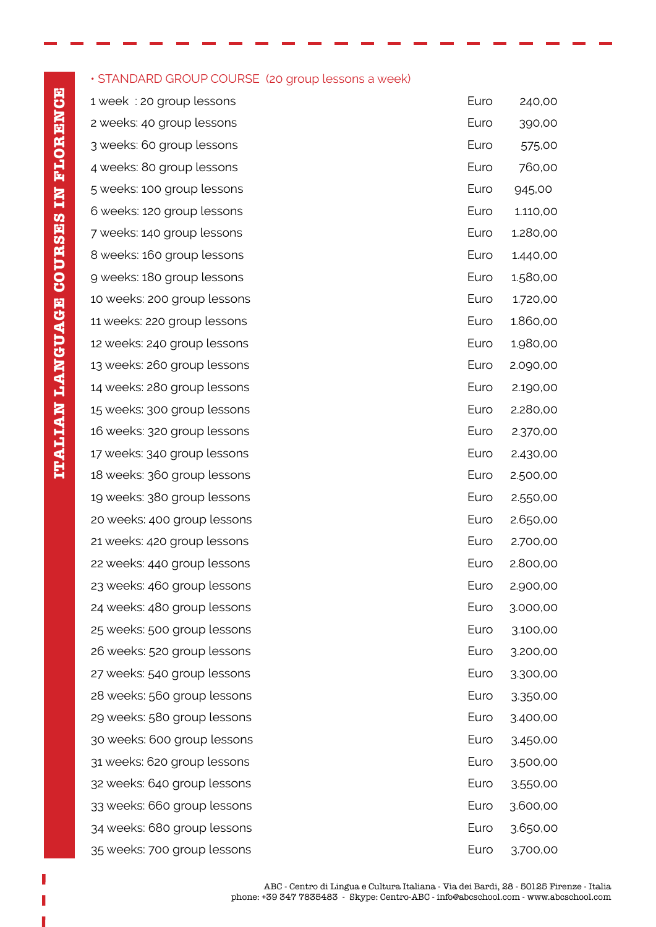### • STANDARD GROUP COURSE (20 group lessons a week)

 $1$  week : 20 group lessons 2 weeks: 40 group lessons 3 weeks: 60 group lessons 4 weeks: 80 group lessons 5 weeks: 100 group lessons 6 weeks: 120 group lessons 7 weeks: 140 group lessons 8 weeks: 160 group lessons 9 weeks: 180 group lessons 10 weeks: 200 group lessons 11 weeks: 220 group lessons 12 weeks: 240 group lessons 13 weeks: 260 group lessons 14 weeks: 280 group lessons 15 weeks: 300 group lessons 16 weeks: 320 group lessons 17 weeks: 340 group lessons 18 weeks: 360 group lessons 19 weeks: 380 group lessons 20 weeks: 400 group lessons 21 weeks: 420 group lessons 22 weeks: 440 group lessons 23 weeks: 460 group lessons 24 weeks: 480 group lessons 25 weeks: 500 group lessons 26 weeks: 520 group lessons 27 weeks: 540 group lessons 28 weeks: 560 group lessons 29 weeks: 580 group lessons 30 weeks: 600 group lessons 31 weeks: 620 group lessons 32 weeks: 640 group lessons 33 weeks: 660 group lessons 34 weeks: 680 group lessons 35 weeks: 700 group lessons Euro 3.700,00

| Euro | 240,00   |
|------|----------|
| Euro | 390,00   |
| Euro | 575,00   |
| Euro | 760,00   |
| Euro | 945,00   |
| Euro | 1.110,00 |
| Euro | 1.280,00 |
| Euro | 1.440,00 |
| Euro | 1.580,00 |
| Euro | 1.720,00 |
| Euro | 1.860,00 |
| Euro | 1.980,00 |
| Euro | 2.090,00 |
| Euro | 2.190,00 |
| Euro | 2.280,00 |
| Euro | 2.370,00 |
| Euro | 2.430,00 |
| Euro | 2.500,00 |
| Euro | 2.550,00 |
| Euro | 2.650,00 |
| Euro | 2.700,00 |
| Euro | 2.800,00 |
| Euro | 2.900,00 |
| Euro | 3.000,00 |
| Euro | 3.100,00 |
| Euro | 3.200,00 |
| Euro | 3.300,00 |
| Euro | 3.350,00 |
| Euro | 3.400,00 |
| Euro | 3.450,00 |
| Euro | 3.500,00 |
| Euro | 3.550,00 |
| Euro | 3.600,00 |
| Euro | 3.650,00 |
|      |          |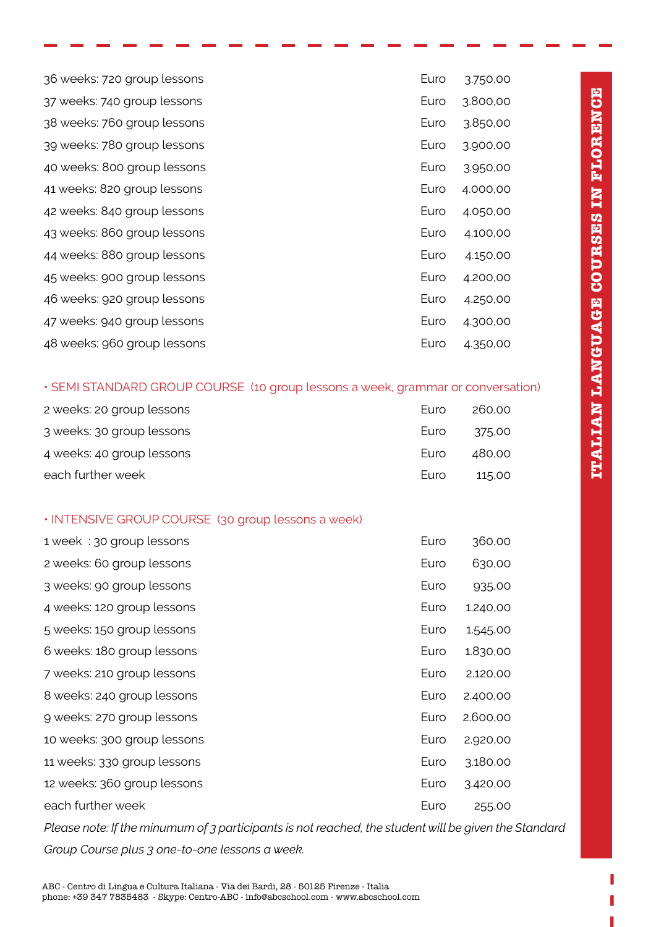| 36 weeks: 720 group lessons | Euro | 3.750,00 |
|-----------------------------|------|----------|
| 37 weeks: 740 group lessons | Euro | 3.800,00 |
| 38 weeks: 760 group lessons | Euro | 3.850,00 |
| 39 weeks: 780 group lessons | Euro | 3.900,00 |
| 40 weeks: 800 group lessons | Euro | 3.950,00 |
| 41 weeks: 820 group lessons | Euro | 4.000,00 |
| 42 weeks: 840 group lessons | Euro | 4.050,00 |
| 43 weeks: 860 group lessons | Euro | 4.100,00 |
| 44 weeks: 880 group lessons | Euro | 4.150,00 |
| 45 weeks: 900 group lessons | Euro | 4.200,00 |
| 46 weeks: 920 group lessons | Euro | 4.250,00 |
| 47 weeks: 940 group lessons | Euro | 4.300,00 |
| 48 weeks: 960 group lessons | Euro | 4.350,00 |

#### • SEMI STANDARD GROUP COURSE (10 group lessons a week, grammar or conversation)

| 2 weeks: 20 group lessons | <b>Luro</b> | 260.00 |
|---------------------------|-------------|--------|
| 3 weeks: 30 group lessons | <b>Luro</b> | 375.00 |
| 4 weeks: 40 group lessons | <b>Luro</b> | 480.00 |
| each further week         | <b>Luro</b> | 115.00 |

### • INTENSIVE GROUP COURSE (30 group lessons a week)

| 1 week: 30 group lessons    | Euro | 360,00   |
|-----------------------------|------|----------|
| 2 weeks: 60 group lessons   | Euro | 630,00   |
| 3 weeks: 90 group lessons   | Euro | 935,00   |
| 4 weeks: 120 group lessons  | Euro | 1.240,00 |
| 5 weeks: 150 group lessons  | Euro | 1.545,00 |
| 6 weeks: 180 group lessons  | Euro | 1.830,00 |
| 7 weeks: 210 group lessons  | Euro | 2.120,00 |
| 8 weeks: 240 group lessons  | Euro | 2.400,00 |
| 9 weeks: 270 group lessons  | Euro | 2.600,00 |
| 10 weeks: 300 group lessons | Euro | 2.920,00 |
| 11 weeks: 330 group lessons | Euro | 3.180,00 |
| 12 weeks: 360 group lessons | Euro | 3.420,00 |
| each further week           | Euro | 255,00   |

*Please note: If the minumum of 3 participants is not reached, the student will be given the Standard Group Course plus 3 one-to-one lessons a week.*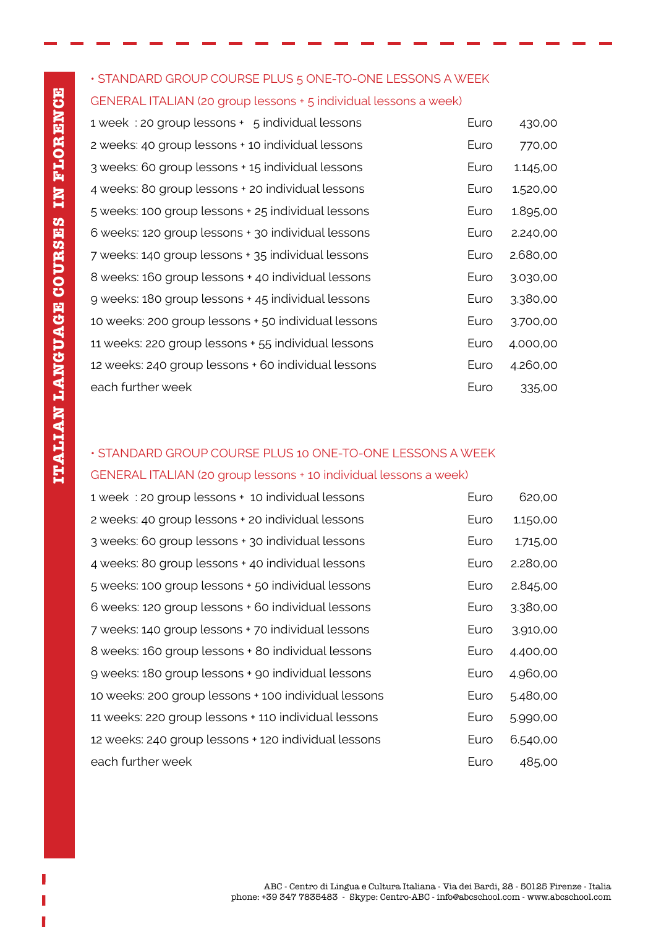# • STANDARD GROUP COURSE PLUS 5 ONE-TO-ONE LESSONS A WEEK GENERAL ITALIAN (20 group lessons + 5 individual lessons a week)

| 1 week: 20 group lessons + 5 individual lessons     | Euro | 430,00   |
|-----------------------------------------------------|------|----------|
| 2 weeks: 40 group lessons + 10 individual lessons   | Euro | 770,00   |
| 3 weeks: 60 group lessons + 15 individual lessons   | Euro | 1.145,00 |
| 4 weeks: 80 group lessons + 20 individual lessons   | Euro | 1.520,00 |
| 5 weeks: 100 group lessons + 25 individual lessons  | Euro | 1.895,00 |
| 6 weeks: 120 group lessons + 30 individual lessons  | Euro | 2.240,00 |
| 7 weeks: 140 group lessons + 35 individual lessons  | Euro | 2.680,00 |
| 8 weeks: 160 group lessons + 40 individual lessons  | Euro | 3.030,00 |
| 9 weeks: 180 group lessons + 45 individual lessons  | Euro | 3.380,00 |
| 10 weeks: 200 group lessons + 50 individual lessons | Euro | 3.700,00 |
| 11 weeks: 220 group lessons + 55 individual lessons | Euro | 4.000,00 |
| 12 weeks: 240 group lessons + 60 individual lessons | Euro | 4.260,00 |
| each further week                                   | Euro | 335,00   |

### • STANDARD GROUP COURSE PLUS 10 ONE-TO-ONE LESSONS A WEEK

#### GENERAL ITALIAN (20 group lessons + 10 individual lessons a week)

| 1 week: 20 group lessons + 10 individual lessons     | Euro | 620,00   |
|------------------------------------------------------|------|----------|
| 2 weeks: 40 group lessons + 20 individual lessons    | Euro | 1.150,00 |
| 3 weeks: 60 group lessons + 30 individual lessons    | Euro | 1.715,00 |
| 4 weeks: 80 group lessons + 40 individual lessons    | Euro | 2.280,00 |
| 5 weeks: 100 group lessons + 50 individual lessons   | Euro | 2.845,00 |
| 6 weeks: 120 group lessons + 60 individual lessons   | Euro | 3.380,00 |
| 7 weeks: 140 group lessons + 70 individual lessons   | Euro | 3.910,00 |
| 8 weeks: 160 group lessons + 80 individual lessons   | Euro | 4.400,00 |
| 9 weeks: 180 group lessons + 90 individual lessons   | Euro | 4.960,00 |
| 10 weeks: 200 group lessons + 100 individual lessons | Euro | 5.480,00 |
| 11 weeks: 220 group lessons + 110 individual lessons | Euro | 5.990,00 |
| 12 weeks: 240 group lessons + 120 individual lessons | Euro | 6.540,00 |
| each further week                                    | Euro | 485,00   |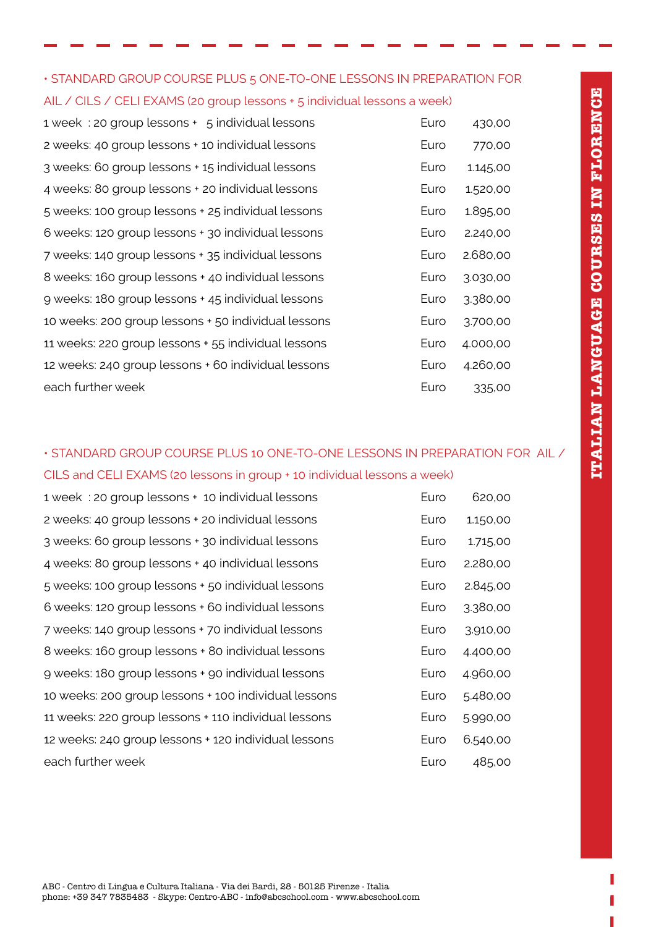| • STANDARD GROUP COURSE PLUS 5 ONE-TO-ONE LESSONS IN PREPARATION FOR     |  |
|--------------------------------------------------------------------------|--|
| AIL / CILS / CELI EXAMS (20 group lessons + 5 individual lessons a week) |  |

1 week : 20 group lessons  $+$  5 individual lessons 2 weeks: 40 group lessons + 10 individual lessons 3 weeks: 60 group lessons + 15 individual lessons 4 weeks: 80 group lessons + 20 individual lessons 5 weeks: 100 group lessons + 25 individual lessons 6 weeks: 120 group lessons + 30 individual lessons 7 weeks: 140 group lessons + 35 individual lessons 8 weeks: 160 group lessons + 40 individual lessons 9 weeks: 180 group lessons + 45 individual lessons 10 weeks: 200 group lessons + 50 individual lessons 11 weeks: 220 group lessons + 55 individual lessons 12 weeks: 240 group lessons + 60 individual lessons each further week

| Furo | 430.00   |
|------|----------|
| Euro | 770,00   |
| Euro | 1.145,00 |
| Euro | 1.520,00 |
| Euro | 1.895,00 |
| Euro | 2.240,00 |
| Euro | 2.680.00 |
| Euro | 3.030,00 |
| Euro | 3.380,00 |
| Euro | 3.700,00 |
| Euro | 4.000,00 |
| Euro | 4.260,00 |
| Euro | 335,00   |

## • STANDARD GROUP COURSE PLUS 10 ONE-TO-ONE LESSONS IN PREPARATION FOR AIL / CILS and CELI EXAMS (20 lessons in group + 10 individual lessons a week)

1 week : 20 group lessons + 10 individual lessons Euro 620,00 2 weeks: 40 group lessons + 20 individual lessons Furo 1.150,00 3 weeks: 60 group lessons + 30 individual lessons Euro 1.715,00 4 weeks: 80 group lessons + 40 individual lessons Euro 2.280,00 5 weeks: 100 group lessons + 50 individual lessons Euro 2.845,00 6 weeks: 120 group lessons + 60 individual lessons Furnell 2.380,00 7 weeks: 140 group lessons + 70 individual lessons Euro 3.910,00 8 weeks: 160 group lessons + 80 individual lessons Furnell and the 4.400.00 9 weeks: 180 group lessons + 90 individual lessons Euro 4.960,00 10 weeks: 200 group lessons + 100 individual lessons Euro 5.480,00 11 weeks: 220 group lessons + 110 individual lessons Euro 5.990,00 12 weeks: 240 group lessons + 120 individual lessons Euro 6.540,00 each further week each further week each function of the state of the each function of the each state of the e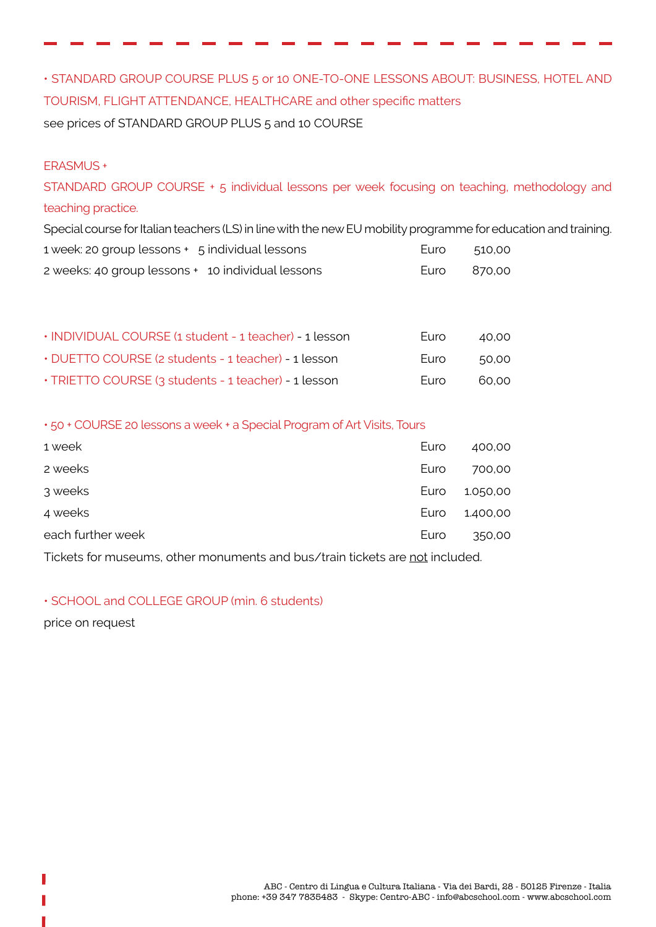• STANDARD GROUP COURSE PLUS 5 or 10 ONE-TO-ONE LESSONS ABOUT: BUSINESS, HOTEL AND TOURISM, FLIGHT ATTENDANCE, HEALTHCARE and other specific matters see prices of STANDARD GROUP PLUS 5 and 10 COURSE

### ERASMUS +

STANDARD GROUP COURSE + 5 individual lessons per week focusing on teaching, methodology and teaching practice.

Special course for Italian teachers (LS) in line with the new EU mobility programme for education and training. 1 week: 20 group lessons + 5 individual lessons example to the Euro 510,00

| 2 weeks: 40 group lessons + 10 individual lessons | Euro 870,00 |  |
|---------------------------------------------------|-------------|--|

| . INDIVIDUAL COURSE (1 student - 1 teacher) - 1 lesson | <b>Furo</b> | 40.00 |
|--------------------------------------------------------|-------------|-------|
| • DUETTO COURSE (2 students - 1 teacher) - 1 lesson    | <b>Furo</b> | 50.00 |
| . TRIETTO COURSE (3 students - 1 teacher) - 1 lesson   | <b>Furo</b> | 60.00 |

• 50 + COURSE 20 lessons a week + a Special Program of Art Visits, Tours

| 1 week            | Euro | 400,00   |
|-------------------|------|----------|
| 2 weeks           | Euro | 700,00   |
| 3 weeks           | Euro | 1.050,00 |
| 4 weeks           | Euro | 1.400,00 |
| each further week | Euro | 350,00   |
|                   |      |          |

Tickets for museums, other monuments and bus/train tickets are not included.

### • SCHOOL and COLLEGE GROUP (min. 6 students)

price on request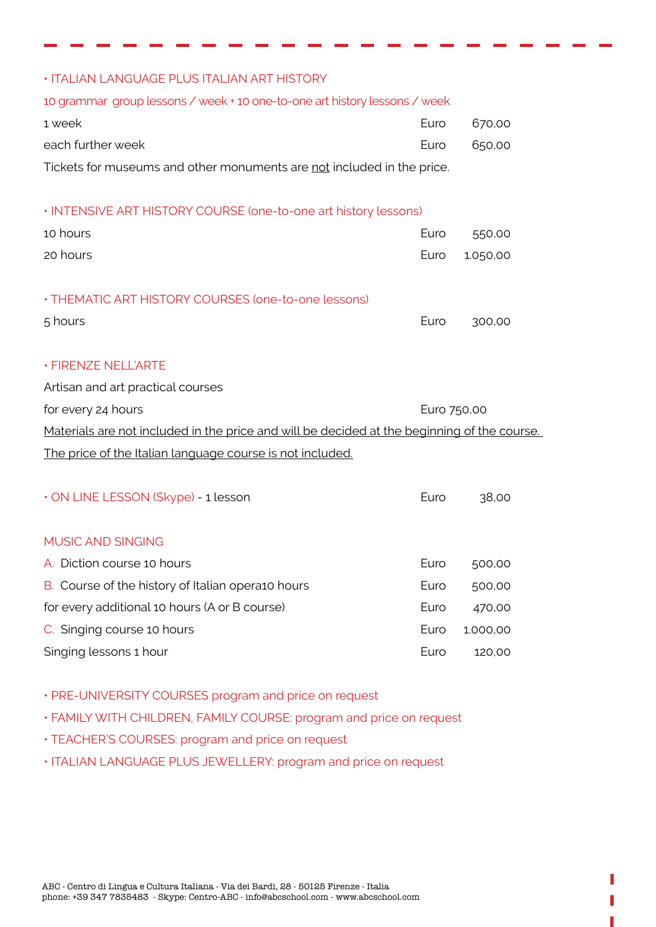| • ITALIAN LANGUAGE PLUS ITALIAN ART HISTORY                                                 |             |          |  |  |  |
|---------------------------------------------------------------------------------------------|-------------|----------|--|--|--|
| 10 grammar group lessons / week + 10 one-to-one art history lessons / week                  |             |          |  |  |  |
| 1 week                                                                                      | Euro        | 670,00   |  |  |  |
| each further week                                                                           | Euro        | 650,00   |  |  |  |
| Tickets for museums and other monuments are not included in the price.                      |             |          |  |  |  |
|                                                                                             |             |          |  |  |  |
| . INTENSIVE ART HISTORY COURSE (one-to-one art history lessons)                             |             |          |  |  |  |
| 10 hours                                                                                    | Euro        | 550,00   |  |  |  |
| 20 hours                                                                                    | Euro        | 1.050,00 |  |  |  |
|                                                                                             |             |          |  |  |  |
| • THEMATIC ART HISTORY COURSES (one-to-one lessons)                                         |             |          |  |  |  |
| 5 hours                                                                                     | Euro        | 300,00   |  |  |  |
|                                                                                             |             |          |  |  |  |
| · FIRENZE NELL'ARTE                                                                         |             |          |  |  |  |
| Artisan and art practical courses                                                           |             |          |  |  |  |
| for every 24 hours                                                                          | Euro 750,00 |          |  |  |  |
| Materials are not included in the price and will be decided at the beginning of the course. |             |          |  |  |  |
| The price of the Italian language course is not included.                                   |             |          |  |  |  |
|                                                                                             |             |          |  |  |  |
| · ON LINE LESSON (Skype) - 1 lesson                                                         | Euro        | 38,00    |  |  |  |
|                                                                                             |             |          |  |  |  |
| <b>MUSIC AND SINGING</b>                                                                    |             |          |  |  |  |
| A. Diction course 10 hours                                                                  | Euro        | 500,00   |  |  |  |
| B. Course of the history of Italian opera10 hours                                           | Euro        | 500,00   |  |  |  |
|                                                                                             |             |          |  |  |  |

- for every additional 10 hours (A or B course) Euro 470,00 C. Singing course 10 hours **EURO 1.000,00** Singing lessons 1 hour example of the state of the state of the Euro 120,00
- PRE-UNIVERSITY COURSES program and price on request
- FAMILY WITH CHILDREN, FAMILY COURSE: program and price on request
- TEACHER'S COURSES: program and price on request
- ITALIAN LANGUAGE PLUS JEWELLERY: program and price on request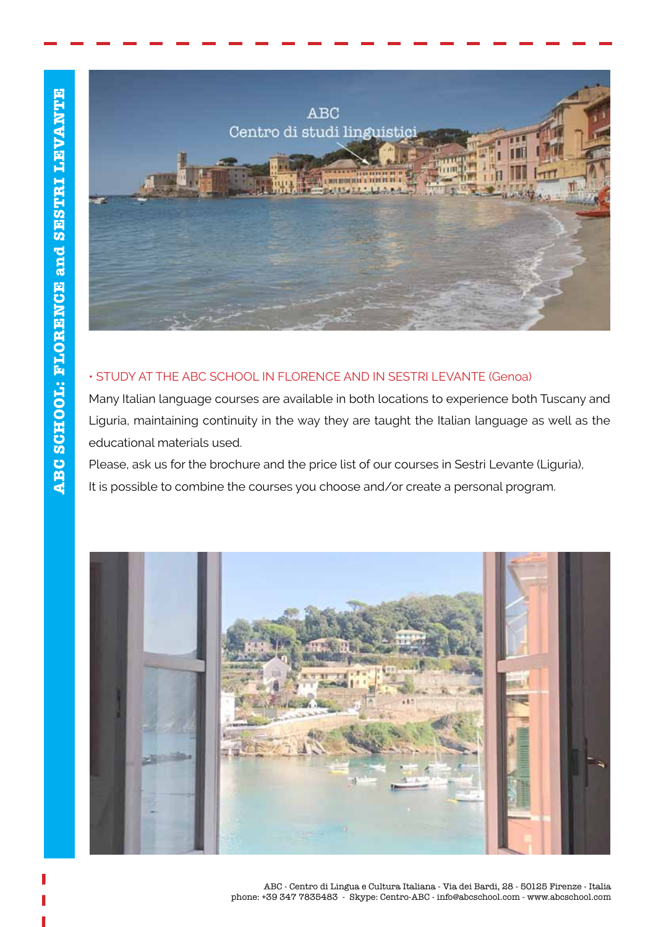

### • STUDY AT THE ABC SCHOOL IN FLORENCE AND IN SESTRI LEVANTE (Genoa)

Many Italian language courses are available in both locations to experience both Tuscany and Liguria, maintaining continuity in the way they are taught the Italian language as well as the educational materials used.

Please, ask us for the brochure and the price list of our courses in Sestri Levante (Liguria), It is possible to combine the courses you choose and/or create a personal program.

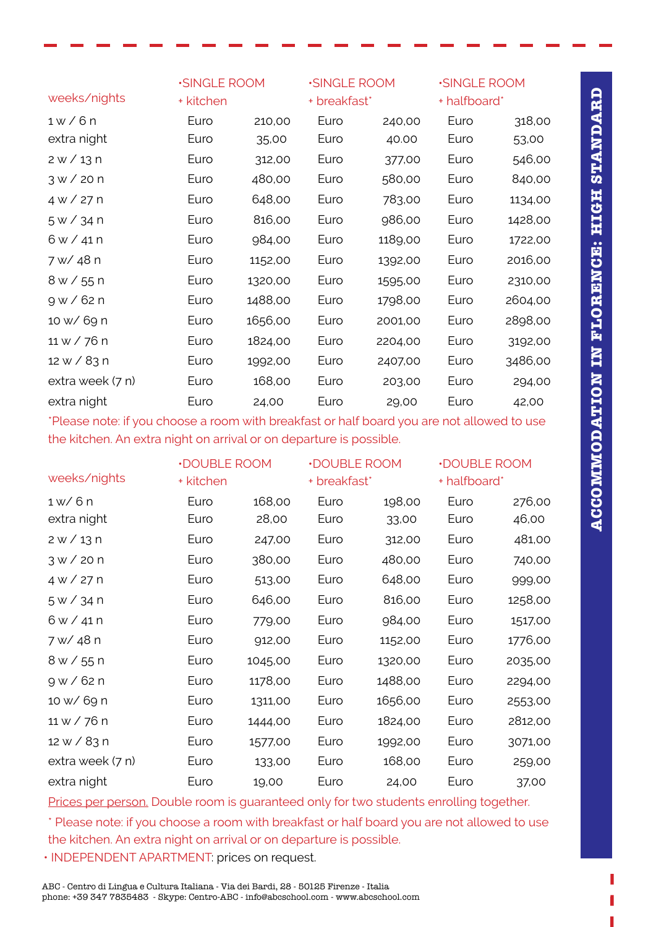|                  | <b>SINGLE ROOM</b> |         | <b>SINGLE ROOM</b> |         | <b>SINGLE ROOM</b> |         |
|------------------|--------------------|---------|--------------------|---------|--------------------|---------|
| weeks/nights     | + kitchen          |         | + breakfast*       |         | + halfboard*       |         |
| $1 \le 6n$       | Euro               | 210,00  | Euro               | 240,00  | Euro               | 318,00  |
| extra night      | Euro               | 35,00   | Euro               | 40.00   | Euro               | 53,00   |
| 2 w / 13 n       | Euro               | 312,00  | Euro               | 377,00  | Euro               | 546,00  |
| $3 \times 20n$   | Euro               | 480,00  | Euro               | 580,00  | Euro               | 840,00  |
| $4 \times 727$ n | Euro               | 648,00  | Euro               | 783,00  | Euro               | 1134,00 |
| 5 w / 34 n       | Euro               | 816,00  | Euro               | 986,00  | Euro               | 1428,00 |
| 6 w / 41 n       | Euro               | 984,00  | Euro               | 1189,00 | Euro               | 1722,00 |
| 7 w/ 48 n        | Euro               | 1152,00 | Euro               | 1392,00 | Euro               | 2016,00 |
| 8 w / 55 n       | Euro               | 1320,00 | Euro               | 1595,00 | Euro               | 2310,00 |
| 9 w / 62 n       | Euro               | 1488,00 | Euro               | 1798,00 | Euro               | 2604,00 |
| 10 w/ 69 n       | Euro               | 1656,00 | Euro               | 2001,00 | Euro               | 2898,00 |
| 11 w / 76 n      | Euro               | 1824,00 | Euro               | 2204,00 | Euro               | 3192,00 |
| 12 w / 83 n      | Euro               | 1992,00 | Euro               | 2407,00 | Euro               | 3486,00 |
| extra week (7 n) | Euro               | 168,00  | Euro               | 203,00  | Euro               | 294,00  |
| extra night      | Euro               | 24,00   | Euro               | 29,00   | Euro               | 42,00   |

\*Please note: if you choose a room with breakfast or half board you are not allowed to use the kitchen. An extra night on arrival or on departure is possible.

|                  | <b>.DOUBLE ROOM</b> |         | <b>.DOUBLE ROOM</b> |         | <b>.DOUBLE ROOM</b> |         |
|------------------|---------------------|---------|---------------------|---------|---------------------|---------|
| weeks/nights     | + kitchen           |         | + breakfast*        |         | + halfboard*        |         |
| 1 w/6 n          | Euro                | 168,00  | Euro                | 198,00  | Euro                | 276,00  |
| extra night      | Euro                | 28,00   | Euro                | 33,00   | Euro                | 46,00   |
| $2 \times 13n$   | Euro                | 247,00  | Euro                | 312,00  | Euro                | 481,00  |
| $3 \times 20 n$  | Euro                | 380,00  | Euro                | 480,00  | Euro                | 740,00  |
| 4 w / 27 n       | Euro                | 513,00  | Euro                | 648,00  | Euro                | 999,00  |
| 5 w / 34 n       | Euro                | 646,00  | Euro                | 816,00  | Euro                | 1258,00 |
| 6 w / 41 n       | Euro                | 779,00  | Euro                | 984,00  | Euro                | 1517,00 |
| 7 w/ 48 n        | Euro                | 912,00  | Euro                | 1152,00 | Euro                | 1776,00 |
| 8 w / 55 n       | Euro                | 1045,00 | Euro                | 1320,00 | Euro                | 2035,00 |
| 9 w / 62 n       | Euro                | 1178,00 | Euro                | 1488,00 | Euro                | 2294,00 |
| 10 w/ 69 n       | Euro                | 1311,00 | Euro                | 1656,00 | Euro                | 2553,00 |
| 11 w / 76 n      | Euro                | 1444,00 | Euro                | 1824,00 | Euro                | 2812,00 |
| 12 w / 83 n      | Euro                | 1577,00 | Euro                | 1992,00 | Euro                | 3071,00 |
| extra week (7 n) | Euro                | 133,00  | Euro                | 168,00  | Euro                | 259,00  |
| extra night      | Euro                | 19,00   | Euro                | 24,00   | Euro                | 37,00   |

Prices per person. Double room is guaranteed only for two students enrolling together.

\* Please note: if you choose a room with breakfast or half board you are not allowed to use the kitchen. An extra night on arrival or on departure is possible.

• INDEPENDENT APARTMENT: prices on request.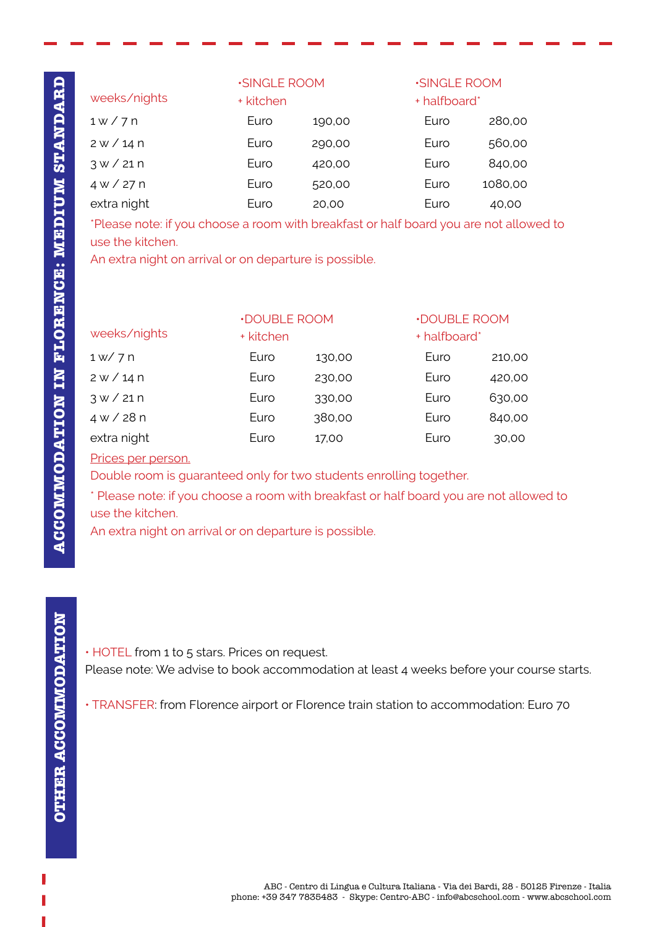|                | <b>SINGLE ROOM</b> |        | <b>SINGLE ROOM</b> |         |
|----------------|--------------------|--------|--------------------|---------|
| weeks/nights   | + kitchen          |        | + halfboard*       |         |
| $1 \times 7$ n | Euro               | 190,00 | Euro               | 280,00  |
| 2 w / 14 n     | Euro               | 290,00 | Euro               | 560,00  |
| $3 \times 21n$ | Euro               | 420,00 | Euro               | 840,00  |
| 4 W / 27 n     | Euro               | 520,00 | Euro               | 1080,00 |
| extra night    | Euro               | 20,00  | Euro               | 40,00   |

\*Please note: if you choose a room with breakfast or half board you are not allowed to use the kitchen.

An extra night on arrival or on departure is possible.

| <b>.DOUBLE ROOM</b><br>weeks/nights<br>+ kitchen | <b>.DOUBLE ROOM</b><br>+ halfboard* |  |
|--------------------------------------------------|-------------------------------------|--|
|                                                  |                                     |  |
| 1 w / 7 n<br>Euro<br>Euro<br>130,00              | 210,00                              |  |
| 2 w / 14 n<br>Euro<br>Euro<br>230,00             | 420,00                              |  |
| $3 \times 21n$<br>Euro<br>Euro<br>330,00         | 630,00                              |  |
| 4 w / 28 n<br>380,00<br>Euro<br>Euro             | 840,00                              |  |
| extra night<br>Euro<br>Euro<br>17,00             | 30,00                               |  |

#### Prices per person.

Double room is guaranteed only for two students enrolling together.

\* Please note: if you choose a room with breakfast or half board you are not allowed to use the kitchen.

An extra night on arrival or on departure is possible.

• HOTEL from 1 to 5 stars. Prices on request. Please note: We advise to book accommodation at least 4 weeks before your course starts.

• TRANSFER: from Florence airport or Florence train station to accommodation: Euro 70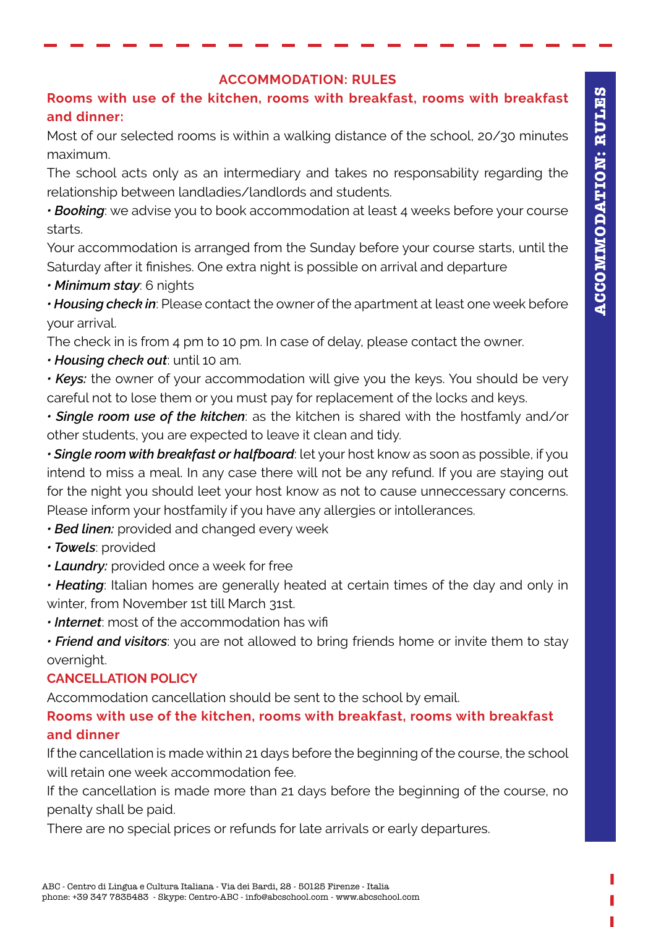### **ACCOMMODATION: RULES**

# **Rooms with use of the kitchen, rooms with breakfast, rooms with breakfast and dinner:**

Most of our selected rooms is within a walking distance of the school, 20/30 minutes maximum.

The school acts only as an intermediary and takes no responsability regarding the relationship between landladies/landlords and students.

*• Booking*: we advise you to book accommodation at least 4 weeks before your course starts.

Your accommodation is arranged from the Sunday before your course starts, until the Saturday after it finishes. One extra night is possible on arrival and departure

*• Minimum stay*: 6 nights

*• Housing check in*: Please contact the owner of the apartment at least one week before your arrival.

The check in is from 4 pm to 10 pm. In case of delay, please contact the owner.

*• Housing check out*: until 10 am.

*• Keys:* the owner of your accommodation will give you the keys. You should be very careful not to lose them or you must pay for replacement of the locks and keys.

*• Single room use of the kitchen*: as the kitchen is shared with the hostfamly and/or other students, you are expected to leave it clean and tidy.

*• Single room with breakfast or halfboard*: let your host know as soon as possible, if you intend to miss a meal. In any case there will not be any refund. If you are staying out for the night you should leet your host know as not to cause unneccessary concerns. Please inform your hostfamily if you have any allergies or intollerances.

*• Bed linen:* provided and changed every week

*• Towels*: provided

*• Laundry:* provided once a week for free

*• Heating*: Italian homes are generally heated at certain times of the day and only in winter, from November 1st till March 31st.

*• Internet*: most of the accommodation has wifi

*• Friend and visitors*: you are not allowed to bring friends home or invite them to stay overnight.

## **CANCELLATION POLICY**

Accommodation cancellation should be sent to the school by email.

## **Rooms with use of the kitchen, rooms with breakfast, rooms with breakfast and dinner**

If the cancellation is made within 21 days before the beginning of the course, the school will retain one week accommodation fee.

If the cancellation is made more than 21 days before the beginning of the course, no penalty shall be paid.

There are no special prices or refunds for late arrivals or early departures.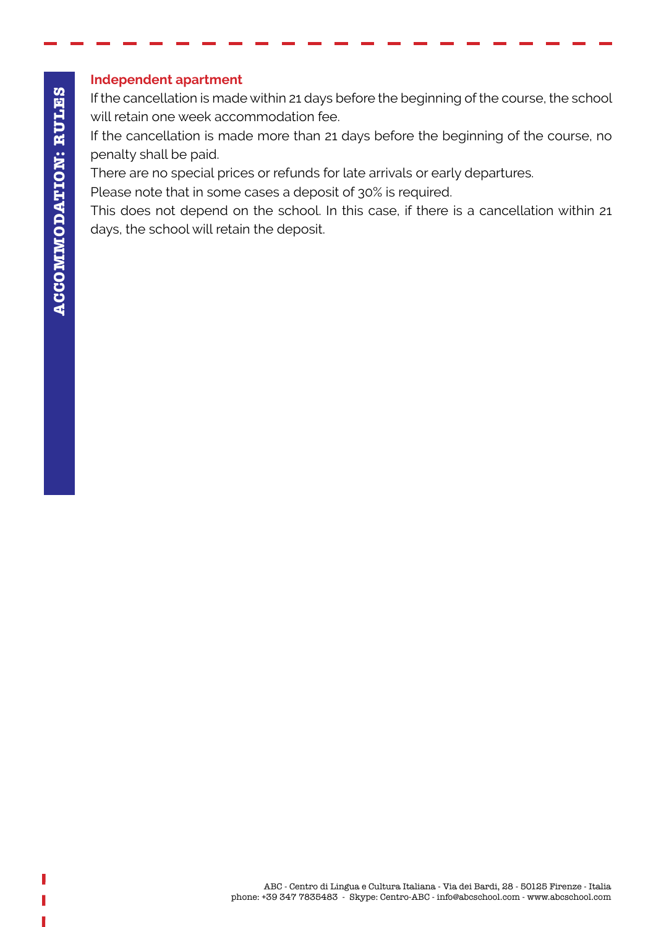### **Independent apartment**

If the cancellation is made within 21 days before the beginning of the course, the school will retain one week accommodation fee.

If the cancellation is made more than 21 days before the beginning of the course, no penalty shall be paid.

There are no special prices or refunds for late arrivals or early departures.

Please note that in some cases a deposit of 30% is required.

This does not depend on the school. In this case, if there is a cancellation within 21 days, the school will retain the deposit.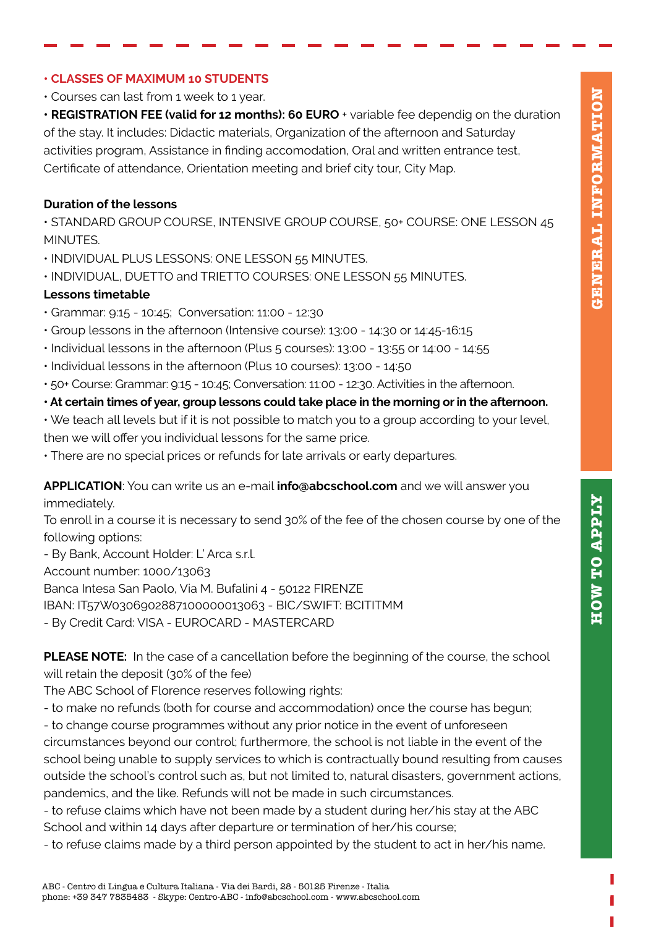### **• CLASSES OF MAXIMUM 10 STUDENTS**

• Courses can last from 1 week to 1 year.

**• REGISTRATION FEE (valid for 12 months): 60 EURO** + variable fee dependig on the duration of the stay. It includes: Didactic materials, Organization of the afternoon and Saturday activities program, Assistance in finding accomodation, Oral and written entrance test, Certificate of attendance, Orientation meeting and brief city tour, City Map.

### **Duration of the lessons**

• STANDARD GROUP COURSE, INTENSIVE GROUP COURSE, 50+ COURSE: ONE LESSON 45 MINUTES.

- INDIVIDUAL PLUS LESSONS: ONE LESSON 55 MINUTES.
- INDIVIDUAL, DUETTO and TRIETTO COURSES: ONE LESSON 55 MINUTES.

#### **Lessons timetable**

- Grammar: 9:15 10:45; Conversation: 11:00 12:30
- Group lessons in the afternoon (Intensive course): 13:00 14:30 or 14:45-16:15
- Individual lessons in the afternoon (Plus 5 courses): 13:00 13:55 or 14:00 14:55
- Individual lessons in the afternoon (Plus 10 courses): 13:00 14:50
- 50+ Course: Grammar: 9:15 10:45; Conversation: 11:00 12:30. Activities in the afternoon.

#### **• At certain times of year, group lessons could take place in the morning or in the afternoon.**

- We teach all levels but if it is not possible to match you to a group according to your level, then we will offer you individual lessons for the same price.
- There are no special prices or refunds for late arrivals or early departures.

#### **APPLICATION**: You can write us an e-mail **info@abcschool.com** and we will answer you immediately.

To enroll in a course it is necessary to send 30% of the fee of the chosen course by one of the following options:

- By Bank, Account Holder: L' Arca s.r.l.

Account number: 1000/13063

Banca Intesa San Paolo, Via M. Bufalini 4 - 50122 FIRENZE

IBAN: IT57W0306902887100000013063 - BIC/SWIFT: BCITITMM

- By Credit Card: VISA - EUROCARD - MASTERCARD

**PLEASE NOTE:** In the case of a cancellation before the beginning of the course, the school will retain the deposit (30% of the fee)

The ABC School of Florence reserves following rights:

- to make no refunds (both for course and accommodation) once the course has begun;

- to change course programmes without any prior notice in the event of unforeseen

circumstances beyond our control; furthermore, the school is not liable in the event of the school being unable to supply services to which is contractually bound resulting from causes outside the school's control such as, but not limited to, natural disasters, government actions, pandemics, and the like. Refunds will not be made in such circumstances.

- to refuse claims which have not been made by a student during her/his stay at the ABC School and within 14 days after departure or termination of her/his course;

- to refuse claims made by a third person appointed by the student to act in her/his name.